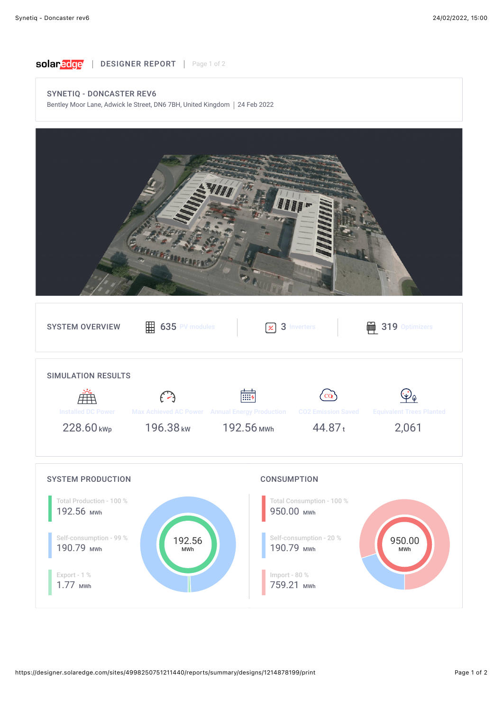

## SYNETIQ - DONCASTER REV6

Bentley Moor Lane, Adwick le Street, DN6 7BH, United Kingdom | 24 Feb 2022